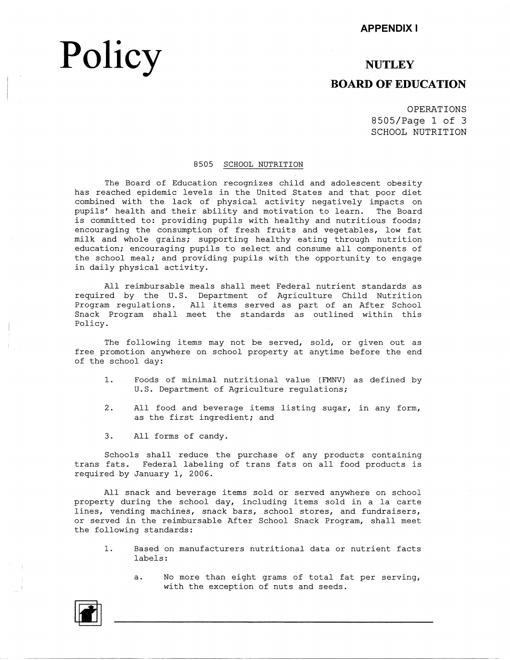# **Policy**

### **NUTLEY**

### **BOARD OF EDUCATION**

OPERATIONS 8505/Page 1 of 3 SCHOOL NUTRITION

#### 8505 SCHOOL NUTRITION

The Board of Education recognizes child and adolescent obesity has reached epidemic ievels in the United States and that poor diet combined with the lack of physical activity negatively impacts on pupils' health and their ability and motivation to learn. The Board is committed to: providing pupils with healthy and nutritious foods; encouraging the consumption of fresh fruits and vegetables, low fat milk and whole grains; supporting healthy eating through nutrition education; encouraging pupils to select and consume all components of the school meal; and providing pupils with the opportunity to engage in daily physical activity.

All reimbursable meals shall meet Federal nutrient standards as required by the U.S. Department of Agriculture Child Nutrition Program regulations. All items served as part of an After School Snack Program shall meet the standards as outlined within this Policy.

The following items may not be served, sold, or given out as free promotion anywhere on school property at anytime before the end of the school day:

- 1. Foods of minimal nutritional value (FMNV) as defined by U.S. Department of Agriculture regulations;
- 2. All food and beverage items listing sugar, in any form, as the first ingredient; and
- 3. All forms of candy.

Schools shall reduce the purchase of any products containing trans fats. Federal labeling of trans fats on all food products is required by January 1, 2006.

All snack and beverage items sold or served anywhere on school property during the school day, including items sold in a la carte lines, vending machines, snack bars, school stores, and fundraisers, or served in the reimbursable After School Snack Program, shall meet the following standards:

- 1. Based on manufacturers nutritional data or nutrient facts labels:
	- a. No more than eight grams of total fat per serving, with the exception of nuts and seeds.

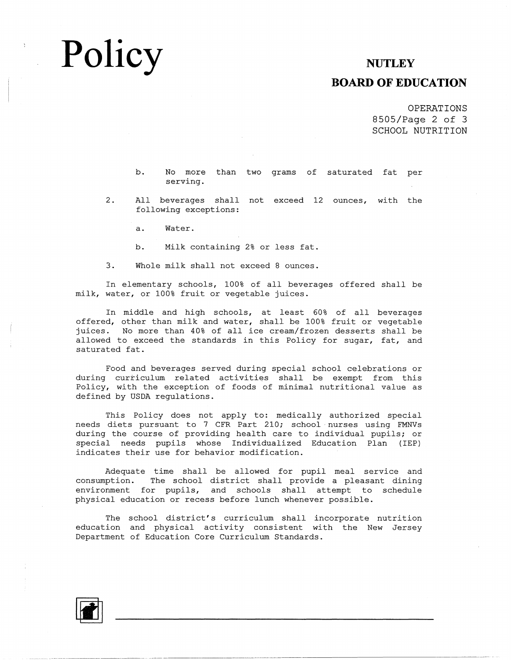## **Policy**

### **NUTLEY**

### **BOARD OF EDUCATION**

OPERATIONS 8505/Page 2 of 3 SCHOOL NUTRITION

b. No more than two grams of saturated fat per serving.

2. All beverages shall not exceed 12 ounces, with the following exceptions:

a. Water.

b. Milk containing 2% or less fat

3. Whole milk shall not exceed 8 ounces.

In elementary schools, 100% of all beverages offered shall be milk, water, or 100% fruit or vegetable juices.

In middle and high schools, at least  $60\%$  of all beverag offered, other than milk and water, shall be  $100\%$  fruit or vegetab juices. No more than 40% of all ice cream/frozen desserts shall be allowed to exceed the standards in this Policy for sugar, fat, and saturated fat.

Food and beverages served during special school celebrations or during curriculum related activities shall be exempt from this Policy, with the exception of foods of minimal nutritional value as defined by USDA regulations.

This Policy does not apply to: medically authorized special needs diets pursuant to 7 CFR Part 210; school· nurses using FMNVs during the course of providing health care to individual pupils; or special needs pupils whose Individualized Education Plan (IEP) indicates their use for behavior modification.

Adequate time shall be allowed for pupil meal service and consumption. The school district shall provide a pleasant dining environment for pupils, and schools shall attempt to schedule physical education or recess before lunch whenever possible.

The school district's curriculum shall incorporate nutrition education and physical activity consistent with the New Jersey Department of Education Core Curriculum Standards.